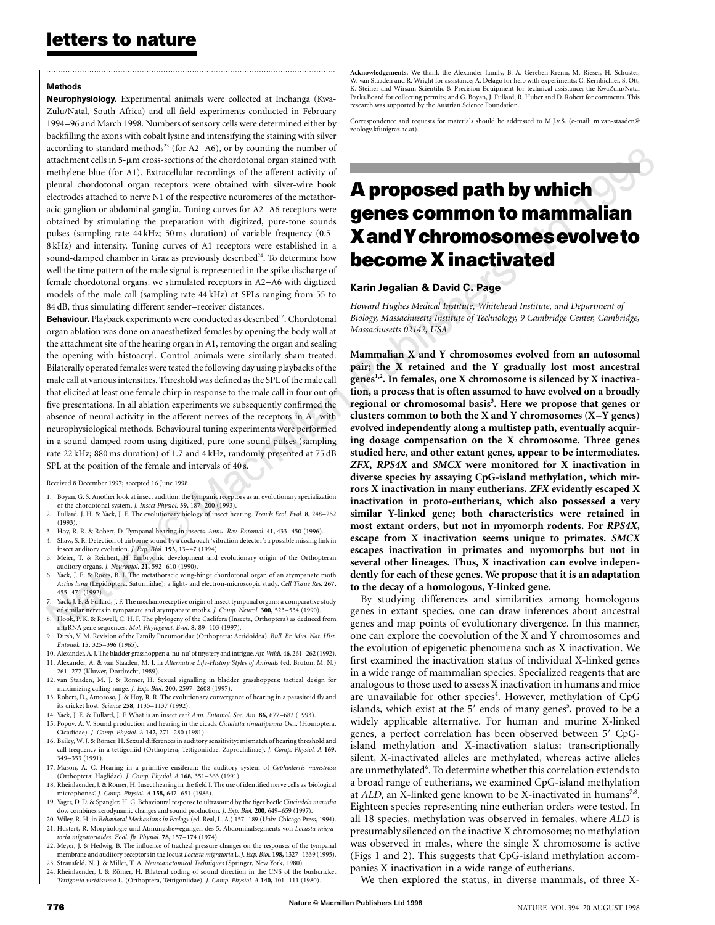#### Methods

Neurophysiology. Experimental animals were collected at Inchanga (Kwa-Zulu/Natal, South Africa) and all field experiments conducted in February 1994–96 and March 1998. Numbers of sensory cells were determined either by backfilling the axons with cobalt lysine and intensifying the staining with silver according to standard methods<sup>23</sup> (for A2–A6), or by counting the number of attachment cells in  $5-\mu m$  cross-sections of the chordotonal organ stained with methylene blue (for A1). Extracellular recordings of the afferent activity of pleural chordotonal organ receptors were obtained with silver-wire hook electrodes attached to nerve N1 of the respective neuromeres of the metathoracic ganglion or abdominal ganglia. Tuning curves for A2–A6 receptors were obtained by stimulating the preparation with digitized, pure-tone sounds pulses (sampling rate 44 kHz; 50 ms duration) of variable frequency (0.5– 8 kHz) and intensity. Tuning curves of A1 receptors were established in a sound-damped chamber in Graz as previously described<sup>24</sup>. To determine how well the time pattern of the male signal is represented in the spike discharge of female chordotonal organs, we stimulated receptors in A2–A6 with digitized models of the male call (sampling rate 44 kHz) at SPLs ranging from 55 to 84 dB, thus simulating different sender–receiver distances.

.........................................................................................................................

Behaviour. Playback experiments were conducted as described<sup>12</sup>. Chordotonal organ ablation was done on anaesthetized females by opening the body wall at the attachment site of the hearing organ in A1, removing the organ and sealing the opening with histoacryl. Control animals were similarly sham-treated. Bilaterally operated females were tested the following day using playbacks of the male call at various intensities. Threshold was defined as the SPL of the male call that elicited at least one female chirp in response to the male call in four out of five presentations. In all ablation experiments we subsequently confirmed the absence of neural activity in the afferent nerves of the receptors in A1 with neurophysiological methods. Behavioural tuning experiments were performed in a sound-damped room using digitized, pure-tone sound pulses (sampling rate 22 kHz; 880 ms duration) of 1.7 and 4 kHz, randomly presented at 75 dB SPL at the position of the female and intervals of 40 s.

Received 8 December 1997; accepted 16 June 1998.

- 1. Boyan, G. S. Another look at insect audition: the tympanic receptors as an evolutionary specialization of the chordotonal system. *J. Insect Physiol.* **39,** 187–200 (1993).
- 2. Fullard, J. H. & Yack, J. E. The evolutionary biology of insect hearing. *Trends Ecol. Evol.* **8,** 248–252 (1993).
- 3. Hoy, R. R. & Robert, D. Tympanal hearing in insects. *Annu. Rev. Entomol.* **41,** 433–450 (1996).
- 4. Shaw, S. R. Detection of airborne sound by a cockroach 'vibration detector': a possible missing link in insect auditory evolution. *J. Exp. Biol.* **193,** 13–47 (1994).
- 5. Meier, T. & Reichert, H. Embryonic development and evolutionary origin of the Orthopteran auditory organs. *J. Neurobiol.* **21,** 592–610 (1990).
- 6. Yack, J. E. & Roots, B. I. The metathoracic wing-hinge chordotonal organ of an atympanate moth *Actias luna* (Lepidoptera, Saturniidae): a light- and electron-microscopic study. *Cell Tissue Res.* **267,** 455–471 (1992).
- Yack, J. E. & Fullard, J. F. The mechanoreceptive origin of insect tympanal organs: a comparative study of similar nerves in tympanate and atympanate moths. *J. Comp. Neurol.* **300,** 523–534 (1990).
- 8. Flook, P. K. & Rowell, C. H. F. The phylogeny of the Caelifera (Insecta, Orthoptera) as deduced from mtrRNA gene sequences. *Mol. Phylogenet. Evol.* **8,** 89–103 (1997).
- 9. Dirsh, V. M. Revision of the Family Pneumoridae (Orthoptera: Acridoidea). *Bull. Br. Mus. Nat. Hist. Entonol.* **15,** 325–396 (1965).
- 10. Alexander, A. J. The bladder grasshopper: a 'nu-nu' of mystery and intrigue.*Afr. Wildl.* **46,** 261–262 (1992). 11. Alexander, A. & van Staaden, M. J. in *Alternative Life-History Styles of Animals* (ed. Bruton, M. N.) 261–277 (Kluwer, Dordrecht, 1989).
- 12. van Staaden, M. J. & Römer, H. Sexual signalling in bladder grasshoppers: tactical design for maximizing calling range. *J. Exp. Biol.* **200,** 2597–2608 (1997).
- 13. Robert, D., Amoroso, J. & Hoy, R. R. The evolutionary convergence of hearing in a parasitoid fly and its cricket host. *Science* **258,** 1135–1137 (1992).
- 14. Yack, J. E. & Fullard, J. F. What is an insect ear? *Ann. Entomol. Soc. Am.* **86,** 677–682 (1993).
- 15. Popov, A. V. Sound production and hearing in the cicada *Cicadetta sinuatipennis* Osh. (Homoptera, Cicadidae). *J. Comp. Physiol. A* **142,** 271–280 (1981).
- 16. Bailey, W. J. & Römer, H. Sexual differences in auditory sensitivity: mismatch of hearing threshold and call frequency in a tettigoniid (Orthoptera, Tettigoniidae: Zaprochilinae). *J. Comp. Physiol. A* **169,** 349–353 (1991).
- 17. Mason, A. C. Hearing in a primitive ensiferan: the auditory system of *Cyphoderris monstrosa* (Orthoptera: Haglidae). *J. Comp. Physiol. A* **168,** 351–363 (1991).
- 18. Rheinlaender, J. & Römer, H. Insect hearing in the field I. The use of identified nerve cells as 'biological microphones'. *J. Comp. Physiol. A* **158,** 647–651 (1986).
- 19. Yager, D. D. & Spangler, H. G. Behavioural response to ultrasound by the tiger beetle *Cincindela marutha* dow combines aerodynamic changes and sound production. *J. Exp. Biol.* **200,** 649–659 (1997).
- 20. Wiley, R. H. in *Behavioral Mechanisms in Ecology* (ed. Real, L. A.) 157–189 (Univ. Chicago Press, 1994).
- 21. Hustert, R. Morphologie und Atmungsbewegungen des 5. Abdominalsegments von *Locusta migratoria migratorioides*. *Zool. Jb. Physiol.* **78,** 157–174 (1974). 22. Meyer, J. & Hedwig, B. The influence of tracheal pressure changes on the responses of the tympanal
- membrane and auditory receptors in the locust *Locusta migratoria* L. *J. Exp. Biol.* **198,** 1327–1339 (1995). 23. Strausfeld, N. J. & Miller, T. A. *Neuroanatomical Techniques* (Springer, New York, 1980).
- 24. Rheinlaender, J. & Römer, H. Bilateral coding of sound direction in the CNS of the bushcricket *Tettigonia viridissima* L. (Orthoptera, Tettigoniidae). *J. Comp. Physiol. A* **140,** 101–111 (1980).

**Acknowledgements.** We thank the Alexander family, B.-A. Gereben-Krenn, M. Rieser, H. Schuster, W. van Staaden and R. Wright for assistance; A. Delago for help with experiments; C. Kernbichler, S. Ott, K. Steiner and Wirsam Scientific & Precision Equipment for technical assistance; the KwaZulu/Natal Parks Board for collecting permits; and G. Boyan, J. Fullard, R. Huber and D. Robert for comments. This research was supported by the Austrian Science Foundation.

Correspondence and requests for materials should be addressed to M.J.v.S. (e-mail: m.van-staaden@ zoology.kfunigraz.ac.at).

# $\Theta$ **A proposed path by which genes common to mammalian XandYchromosomesevolveto become X inactivated**

### Karin Jegalian & David C. Page

*Howard Hughes Medical Institute, Whitehead Institute, and Department of Biology, Massachusetts Institute of Technology, 9 Cambridge Center, Cambridge, Massachusetts 02142, USA .........................................................................................................................*

**Mammalian X and Y chromosomes evolved from an autosomal pair; the X retained and the Y gradually lost most ancestral** genes<sup>1,2</sup>. In females, one X chromosome is silenced by X inactiva**tion, a process that is often assumed to have evolved on a broadly regional or chromosomal basis3 . Here we propose that genes or clusters common to both the X and Y chromosomes (X–Y genes) evolved independently along a multistep path, eventually acquiring dosage compensation on the X chromosome. Three genes studied here, and other extant genes, appear to be intermediates.** *ZFX***,** *RPS4X* **and** *SMCX* **were monitored for X inactivation in diverse species by assaying CpG-island methylation, which mirrors X inactivation in many eutherians.** *ZFX* **evidently escaped X inactivation in proto-eutherians, which also possessed a very similar Y-linked gene; both characteristics were retained in most extant orders, but not in myomorph rodents. For** *RPS4X***, escape from X inactivation seems unique to primates.** *SMCX* **escapes inactivation in primates and myomorphs but not in several other lineages. Thus, X inactivation can evolve independently for each of these genes. We propose that it is an adaptation to the decay of a homologous, Y-linked gene.**

By studying differences and similarities among homologous genes in extant species, one can draw inferences about ancestral genes and map points of evolutionary divergence. In this manner, one can explore the coevolution of the X and Y chromosomes and the evolution of epigenetic phenomena such as X inactivation. We first examined the inactivation status of individual X-linked genes in a wide range of mammalian species. Specialized reagents that are analogous to those used to assess X inactivation in humans and mice are unavailable for other species<sup>4</sup>. However, methylation of CpG islands, which exist at the 5' ends of many genes<sup>5</sup>, proved to be a widely applicable alternative. For human and murine X-linked genes, a perfect correlation has been observed between 5' CpGisland methylation and X-inactivation status: transcriptionally silent, X-inactivated alleles are methylated, whereas active alleles are unmethylated<sup>6</sup>. To determine whether this correlation extends to a broad range of eutherians, we examined CpG-island methylation at *ALD*, an X-linked gene known to be X-inactivated in humans<sup>7,8</sup>. Eighteen species representing nine eutherian orders were tested. In all 18 species, methylation was observed in females, where *ALD* is presumably silenced on the inactive X chromosome; no methylation was observed in males, where the single X chromosome is active (Figs 1 and 2). This suggests that CpG-island methylation accompanies X inactivation in a wide range of eutherians.

We then explored the status, in diverse mammals, of three X-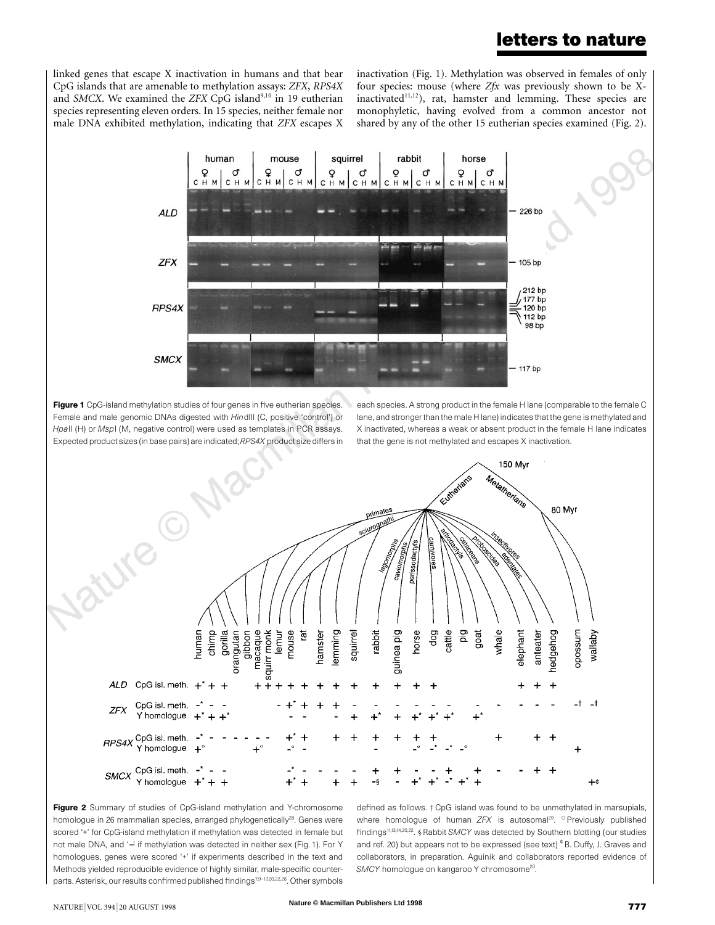linked genes that escape X inactivation in humans and that bear CpG islands that are amenable to methylation assays: *ZFX*, *RPS4X* and *SMCX*. We examined the *ZFX* CpG island<sup>9,10</sup> in 19 eutherian species representing eleven orders. In 15 species, neither female nor male DNA exhibited methylation, indicating that *ZFX* escapes X inactivation (Fig. 1). Methylation was observed in females of only four species: mouse (where *Zfx* was previously shown to be Xinactivated $11,12$ ), rat, hamster and lemming. These species are monophyletic, having evolved from a common ancestor not shared by any of the other 15 eutherian species examined (Fig. 2).



Figure 1 CpG-island methylation studies of four genes in five eutherian species. Female and male genomic DNAs digested with *Hin*dIII (C, positive 'control') or *Hpa*II (H) or *Msp*I (M, negative control) were used as templates in PCR assays. Expected product sizes (in base pairs) are indicated; *RPS4X* product size differs in each species. A strong product in the female H lane (comparable to the female C lane, and stronger than the male H lane) indicates that the gene is methylated and X inactivated, whereas a weak or absent product in the female H lane indicates that the gene is not methylated and escapes X inactivation.



Figure 2 Summary of studies of CpG-island methylation and Y-chromosome homologue in 26 mammalian species, arranged phylogenetically<sup>28</sup>. Genes were scored '+' for CpG-island methylation if methylation was detected in female but not male DNA, and '−' if methylation was detected in neither sex (Fig. 1). For Y homologues, genes were scored '+' if experiments described in the text and Methods yielded reproducible evidence of highly similar, male-specific counterparts. Asterisk, our results confirmed published findings<sup>7,9-17,20,22,26</sup>. Other symbols defined as follows. † CpG island was found to be unmethylated in marsupials, where homologue of human *ZFX* is autosomal<sup>29</sup>. <sup>O</sup> Previously published findings11,13,14,20,22. §Rabbit *SMCY* was detected by Southern blotting (our studies and ref. 20) but appears not to be expressed (see text)  ${}^{\circ}$  B. Duffy, J. Graves and collaborators, in preparation. Aguinik and collaborators reported evidence of *SMCY* homologue on kangaroo Y chromosome<sup>20</sup>.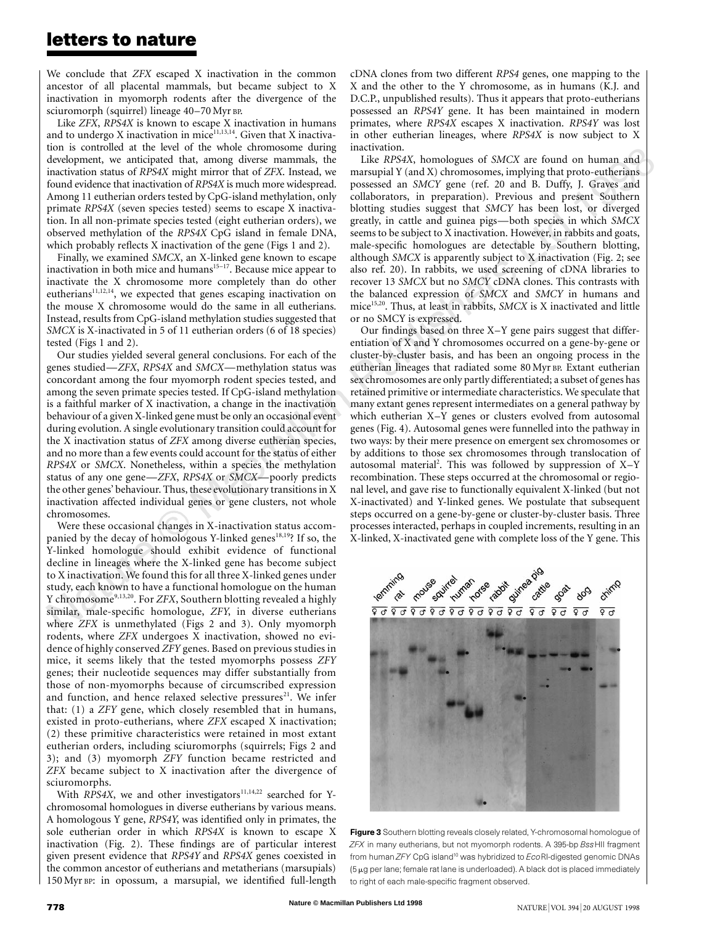We conclude that *ZFX* escaped X inactivation in the common ancestor of all placental mammals, but became subject to X inactivation in myomorph rodents after the divergence of the sciuromorph (squirrel) lineage 40–70 Myr BP.

Like *ZFX*, *RPS4X* is known to escape X inactivation in humans and to undergo X inactivation in mice $11,13,14$ . Given that X inactivation is controlled at the level of the whole chromosome during development, we anticipated that, among diverse mammals, the inactivation status of *RPS4X* might mirror that of *ZFX*. Instead, we found evidence that inactivation of *RPS4X* is much more widespread. Among 11 eutherian orders tested by CpG-island methylation, only primate *RPS4X* (seven species tested) seems to escape X inactivation. In all non-primate species tested (eight eutherian orders), we observed methylation of the *RPS4X* CpG island in female DNA, which probably reflects X inactivation of the gene (Figs 1 and 2).

Finally, we examined *SMCX*, an X-linked gene known to escape inactivation in both mice and humans<sup>15-17</sup>. Because mice appear to inactivate the X chromosome more completely than do other eutherians<sup>11,12,14</sup>, we expected that genes escaping inactivation on the mouse X chromosome would do the same in all eutherians. Instead, results from CpG-island methylation studies suggested that *SMCX* is X-inactivated in 5 of 11 eutherian orders (6 of 18 species) tested (Figs 1 and 2).

Our studies yielded several general conclusions. For each of the genes studied—*ZFX*, *RPS4X* and *SMCX*—methylation status was concordant among the four myomorph rodent species tested, and among the seven primate species tested. If CpG-island methylation is a faithful marker of X inactivation, a change in the inactivation behaviour of a given X-linked gene must be only an occasional event during evolution. A single evolutionary transition could account for the X inactivation status of *ZFX* among diverse eutherian species, and no more than a few events could account for the status of either *RPS4X* or *SMCX*. Nonetheless, within a species the methylation status of any one gene—*ZFX*, *RPS4X* or *SMCX*—poorly predicts the other genes' behaviour. Thus, these evolutionary transitions in X inactivation affected individual genes or gene clusters, not whole chromosomes.

Were these occasional changes in X-inactivation status accompanied by the decay of homologous Y-linked genes<sup>18,19</sup>? If so, the Y-linked homologue should exhibit evidence of functional decline in lineages where the X-linked gene has become subject to X inactivation. We found this for all three X-linked genes under study, each known to have a functional homologue on the human Y chromosome<sup>9,13,20</sup>. For *ZFX*, Southern blotting revealed a highly similar, male-specific homologue, *ZFY*, in diverse eutherians where *ZFX* is unmethylated (Figs 2 and 3). Only myomorph rodents, where *ZFX* undergoes X inactivation, showed no evidence of highly conserved *ZFY* genes. Based on previous studies in mice, it seems likely that the tested myomorphs possess *ZFY* genes; their nucleotide sequences may differ substantially from those of non-myomorphs because of circumscribed expression and function, and hence relaxed selective pressures<sup>21</sup>. We infer that: (1) a *ZFY* gene, which closely resembled that in humans, existed in proto-eutherians, where *ZFX* escaped X inactivation; (2) these primitive characteristics were retained in most extant eutherian orders, including sciuromorphs (squirrels; Figs 2 and 3); and (3) myomorph *ZFY* function became restricted and *ZFX* became subject to X inactivation after the divergence of sciuromorphs.

With *RPS4X*, we and other investigators<sup>11,14,22</sup> searched for Ychromosomal homologues in diverse eutherians by various means. A homologous Y gene, *RPS4Y*, was identified only in primates, the sole eutherian order in which *RPS4X* is known to escape X inactivation (Fig. 2). These findings are of particular interest given present evidence that *RPS4Y* and *RPS4X* genes coexisted in the common ancestor of eutherians and metatherians (marsupials) 150 Myr BP: in opossum, a marsupial, we identified full-length cDNA clones from two different *RPS4* genes, one mapping to the X and the other to the Y chromosome, as in humans (K.J. and D.C.P., unpublished results). Thus it appears that proto-eutherians possessed an *RPS4Y* gene. It has been maintained in modern primates, where *RPS4X* escapes X inactivation. *RPS4Y* was lost in other eutherian lineages, where *RPS4X* is now subject to X inactivation.

and  $\sum_{\text{ans}}$ Like *RPS4X*, homologues of *SMCX* are found on human and marsupial Y (and X) chromosomes, implying that proto-eutherians possessed an *SMCY* gene (ref. 20 and B. Duffy, J. Graves and collaborators, in preparation). Previous and present Southern blotting studies suggest that *SMCY* has been lost, or diverged greatly, in cattle and guinea pigs—both species in which *SMCX* seems to be subject to X inactivation. However, in rabbits and goats, male-specific homologues are detectable by Southern blotting, although *SMCX* is apparently subject to X inactivation (Fig. 2; see also ref. 20). In rabbits, we used screening of cDNA libraries to recover 13 *SMCX* but no *SMCY* cDNA clones. This contrasts with the balanced expression of *SMCX* and *SMCY* in humans and mice<sup>15,20</sup>. Thus, at least in rabbits, *SMCX* is X inactivated and little or no SMCY is expressed.

Our findings based on three X–Y gene pairs suggest that differentiation of X and Y chromosomes occurred on a gene-by-gene or cluster-by-cluster basis, and has been an ongoing process in the eutherian lineages that radiated some 80 Myr BP. Extant eutherian sex chromosomes are only partly differentiated; a subset of genes has retained primitive or intermediate characteristics. We speculate that many extant genes represent intermediates on a general pathway by which eutherian X–Y genes or clusters evolved from autosomal genes (Fig. 4). Autosomal genes were funnelled into the pathway in two ways: by their mere presence on emergent sex chromosomes or by additions to those sex chromosomes through translocation of autosomal material<sup>2</sup>. This was followed by suppression of X-Y recombination. These steps occurred at the chromosomal or regional level, and gave rise to functionally equivalent X-linked (but not X-inactivated) and Y-linked genes. We postulate that subsequent steps occurred on a gene-by-gene or cluster-by-cluster basis. Three processes interacted, perhaps in coupled increments, resulting in an X-linked, X-inactivated gene with complete loss of the Y gene. This



Figure 3 Southern blotting reveals closely related, Y-chromosomal homologue of *ZFX* in many eutherians, but not myomorph rodents. A 395-bp *Bss*HII fragment from human *ZFY* CpG island<sup>10</sup> was hybridized to *EcoRI*-digested genomic DNAs  $(5 \mu g$  per lane; female rat lane is underloaded). A black dot is placed immediately to right of each male-specific fragment observed.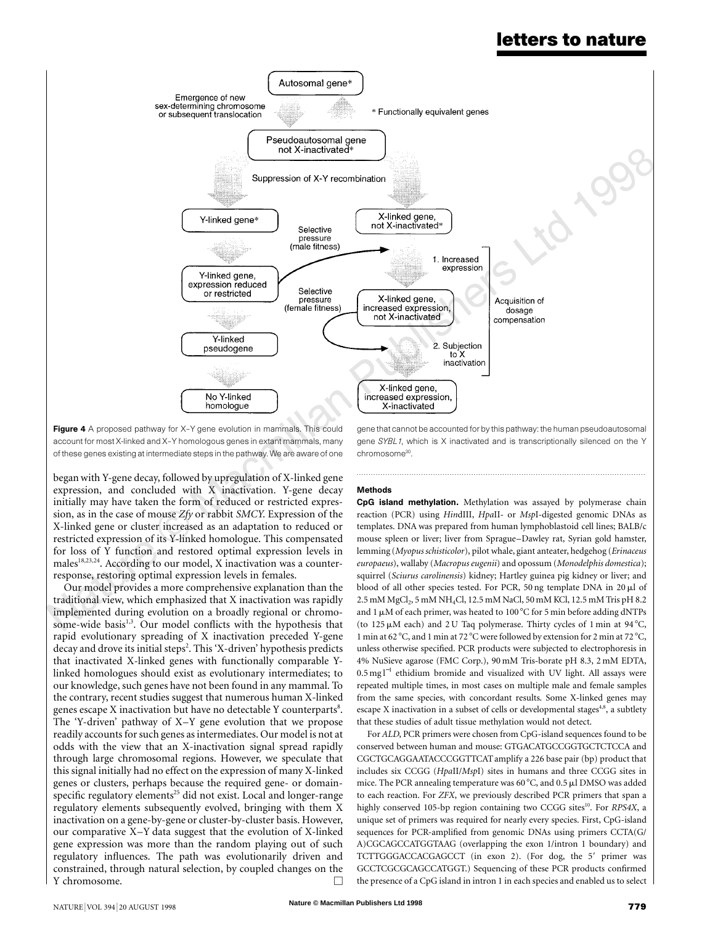

Figure 4 A proposed pathway for X-Y gene evolution in mammals. This could account for most X-linked and X–Y homologous genes in extant mammals, many of these genes existing at intermediate steps in the pathway. We are aware of one

beganwith Y-gene decay, followed by upregulation of X-linked gene expression, and concluded with X inactivation. Y-gene decay initially may have taken the form of reduced or restricted expression, as in the case of mouse *Zfy* or rabbit *SMCY*. Expression of the X-linked gene or cluster increased as an adaptation to reduced or restricted expression of its Y-linked homologue. This compensated for loss of Y function and restored optimal expression levels in males<sup>18,23,24</sup>. According to our model, X inactivation was a counterresponse, restoring optimal expression levels in females.

Our model provides a more comprehensive explanation than the traditional view, which emphasized that X inactivation was rapidly implemented during evolution on a broadly regional or chromosome-wide basis<sup>1,3</sup>. Our model conflicts with the hypothesis that rapid evolutionary spreading of X inactivation preceded Y-gene decay and drove its initial steps<sup>2</sup>. This 'X-driven' hypothesis predicts that inactivated X-linked genes with functionally comparable Ylinked homologues should exist as evolutionary intermediates; to our knowledge, such genes have not been found in any mammal. To the contrary, recent studies suggest that numerous human X-linked genes escape X inactivation but have no detectable Y counterparts<sup>8</sup>. The 'Y-driven' pathway of X–Y gene evolution that we propose readily accounts for such genes as intermediates. Our model is not at odds with the view that an X-inactivation signal spread rapidly through large chromosomal regions. However, we speculate that this signal initially had no effect on the expression of many X-linked genes or clusters, perhaps because the required gene- or domainspecific regulatory elements<sup>25</sup> did not exist. Local and longer-range regulatory elements subsequently evolved, bringing with them X inactivation on a gene-by-gene or cluster-by-cluster basis. However, our comparative X–Y data suggest that the evolution of X-linked gene expression was more than the random playing out of such regulatory influences. The path was evolutionarily driven and constrained, through natural selection, by coupled changes on the Y chromosome.

#### . . . . . . . . . . . . . . . . . . . . . . . . . . . . . . . . . . . . . . . . . . . . . . . . . . . . . . . . . . . . . . . . . . . . . . . . . . . . . . . . . . . . . . . . . . . . . . . . . . . . . . . . . . . . . . . . . . . . . . . . . Methods

chromosome30.

CpG island methylation. Methylation was assayed by polymerase chain reaction (PCR) using *Hin*dIII, *Hpa*II- or *Msp*I-digested genomic DNAs as templates. DNA was prepared from human lymphoblastoid cell lines; BALB/c mouse spleen or liver; liver from Sprague–Dawley rat, Syrian gold hamster, lemming (*Myopus schisticolor*), pilot whale, giant anteater, hedgehog (*Erinaceus europaeus*), wallaby (*Macropuseugenii*) and opossum (*Monodelphis domestica*); squirrel (*Sciurus carolinensis*) kidney; Hartley guinea pig kidney or liver; and blood of all other species tested. For PCR, 50 ng template DNA in 20  $\mu$ l of 2.5 mM MgCl<sub>2</sub>, 5 mM NH<sub>4</sub>Cl, 12.5 mM NaCl, 50 mM KCl, 12.5 mM Tris pH 8.2 and 1  $\mu$ M of each primer, was heated to 100 °C for 5 min before adding dNTPs (to 125  $\mu$ M each) and 2 U Taq polymerase. Thirty cycles of 1 min at 94 °C, 1 min at 62 °C, and 1 min at 72 °C were followed by extension for 2 min at 72 °C, unless otherwise specified. PCR products were subjected to electrophoresis in 4% NuSieve agarose (FMC Corp.), 90 mM Tris-borate pH 8.3, 2 mM EDTA,  $0.5 \text{ mg l}^{-1}$  ethidium bromide and visualized with UV light. All assays were repeated multiple times, in most cases on multiple male and female samples from the same species, with concordant results. Some X-linked genes may escape X inactivation in a subset of cells or developmental stages<sup>4,8</sup>, a subtlety that these studies of adult tissue methylation would not detect.

gene *SYBL1*, which is X inactivated and is transcriptionally silenced on the Y

For *ALD*, PCR primers were chosen from CpG-island sequences found to be conserved between human and mouse: GTGACATGCCGGTGCTCTCCA and CGCTGCAGGAATACCCGGTTCATamplify a 226 base pair (bp) product that includes six CCGG (*Hpa*II/*Msp*I) sites in humans and three CCGG sites in mice. The PCR annealing temperature was  $60^{\circ}$ C, and 0.5 µl DMSO was added to each reaction. For *ZFX*, we previously described PCR primers that span a highly conserved 105-bp region containing two CCGG sites<sup>10</sup>. For *RPS4X*, a unique set of primers was required for nearly every species. First, CpG-island sequences for PCR-amplified from genomic DNAs using primers CCTA(G/ A)CGCAGCCATGGTAAG (overlapping the exon 1/intron 1 boundary) and TCTTGGGACCACGAGCCT (in exon 2). (For dog, the 5' primer was GCCTCGCGCAGCCATGGT.) Sequencing of these PCR products confirmed the presence of a CpG island in intron 1 in each species and enabled us to select